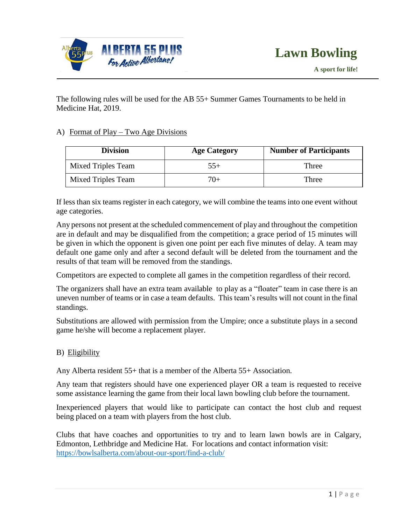

The following rules will be used for the AB 55+ Summer Games Tournaments to be held in Medicine Hat, 2019.

# A) Format of Play – Two Age Divisions

| <b>Division</b>    | <b>Age Category</b> | <b>Number of Participants</b> |
|--------------------|---------------------|-------------------------------|
| Mixed Triples Team | $55+$               | Three                         |
| Mixed Triples Team | $7()+$              | Three                         |

If less than six teams register in each category, we will combine the teams into one event without age categories.

Any persons not present at the scheduled commencement of play and throughout the competition are in default and may be disqualified from the competition; a grace period of 15 minutes will be given in which the opponent is given one point per each five minutes of delay. A team may default one game only and after a second default will be deleted from the tournament and the results of that team will be removed from the standings.

Competitors are expected to complete all games in the competition regardless of their record.

The organizers shall have an extra team available to play as a "floater" team in case there is an uneven number of teams or in case a team defaults. This team's results will not count in the final standings.

Substitutions are allowed with permission from the Umpire; once a substitute plays in a second game he/she will become a replacement player.

# B) Eligibility

Any Alberta resident 55+ that is a member of the Alberta 55+ Association.

Any team that registers should have one experienced player OR a team is requested to receive some assistance learning the game from their local lawn bowling club before the tournament.

Inexperienced players that would like to participate can contact the host club and request being placed on a team with players from the host club.

Clubs that have coaches and opportunities to try and to learn lawn bowls are in Calgary, Edmonton, Lethbridge and Medicine Hat. For locations and contact information visit: <https://bowlsalberta.com/about-our-sport/find-a-club/>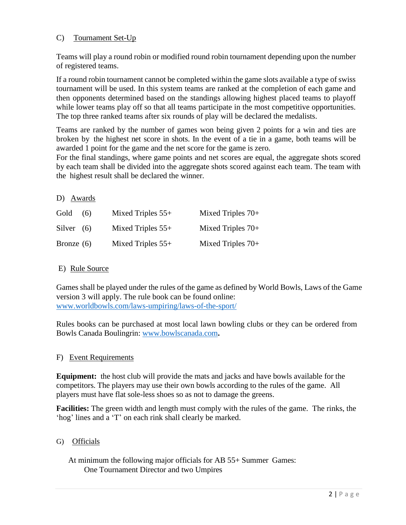# C) Tournament Set-Up

Teams will play a round robin or modified round robin tournament depending upon the number of registered teams.

If a round robin tournament cannot be completed within the game slots available a type of swiss tournament will be used. In this system teams are ranked at the completion of each game and then opponents determined based on the standings allowing highest placed teams to playoff while lower teams play off so that all teams participate in the most competitive opportunities. The top three ranked teams after six rounds of play will be declared the medalists.

Teams are ranked by the number of games won being given 2 points for a win and ties are broken by the highest net score in shots. In the event of a tie in a game, both teams will be awarded 1 point for the game and the net score for the game is zero.

For the final standings, where game points and net scores are equal, the aggregate shots scored by each team shall be divided into the aggregate shots scored against each team. The team with the highest result shall be declared the winner.

### D) Awards

| Gold         | (6) | Mixed Triples $55+$ | Mixed Triples $70+$ |
|--------------|-----|---------------------|---------------------|
| Silver $(6)$ |     | Mixed Triples $55+$ | Mixed Triples $70+$ |
| Bronze $(6)$ |     | Mixed Triples $55+$ | Mixed Triples $70+$ |

# E) Rule Source

Games shall be played under the rules of the game as defined by World Bowls, Laws of the Game version 3 will apply. The rule book can be found online: [www.worldbowls.com/laws-umpiring/laws-of-the-sport/](http://www.worldbowls.com/laws-umpiring/laws-of-the-sport/)

Rules books can be purchased at most local lawn bowling clubs or they can be ordered from Bowls Canada Boulingrin: [www.bowlscanada.com](http://www.bowlscanada.com/)**.**

# F) Event Requirements

**Equipment:** the host club will provide the mats and jacks and have bowls available for the competitors. The players may use their own bowls according to the rules of the game. All players must have flat sole-less shoes so as not to damage the greens.

**Facilities:** The green width and length must comply with the rules of the game. The rinks, the 'hog' lines and a 'T' on each rink shall clearly be marked.

# G) Officials

 At minimum the following major officials for AB 55+ Summer Games: One Tournament Director and two Umpires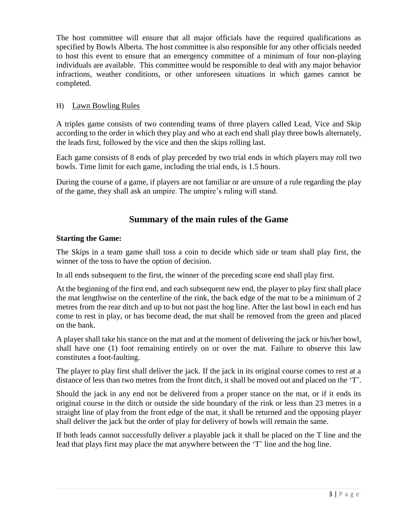The host committee will ensure that all major officials have the required qualifications as specified by Bowls Alberta. The host committee is also responsible for any other officials needed to host this event to ensure that an emergency committee of a minimum of four non-playing individuals are available. This committee would be responsible to deal with any major behavior infractions, weather conditions, or other unforeseen situations in which games cannot be completed.

# H) Lawn Bowling Rules

A triples game consists of two contending teams of three players called Lead, Vice and Skip according to the order in which they play and who at each end shall play three bowls alternately, the leads first, followed by the vice and then the skips rolling last.

Each game consists of 8 ends of play preceded by two trial ends in which players may roll two bowls. Time limit for each game, including the trial ends, is 1.5 hours.

During the course of a game, if players are not familiar or are unsure of a rule regarding the play of the game, they shall ask an umpire. The umpire's ruling will stand.

# **Summary of the main rules of the Game**

# **Starting the Game:**

The Skips in a team game shall toss a coin to decide which side or team shall play first, the winner of the toss to have the option of decision.

In all ends subsequent to the first, the winner of the preceding score end shall play first.

At the beginning of the first end, and each subsequent new end, the player to play first shall place the mat lengthwise on the centerline of the rink, the back edge of the mat to be a minimum of 2 metres from the rear ditch and up to but not past the hog line. After the last bowl in each end has come to rest in play, or has become dead, the mat shall be removed from the green and placed on the bank.

A player shall take his stance on the mat and at the moment of delivering the jack or his/her bowl, shall have one (1) foot remaining entirely on or over the mat. Failure to observe this law constitutes a foot-faulting.

The player to play first shall deliver the jack. If the jack in its original course comes to rest at a distance of less than two metres from the front ditch, it shall be moved out and placed on the 'T'.

Should the jack in any end not be delivered from a proper stance on the mat, or if it ends its original course in the ditch or outside the side boundary of the rink or less than 23 metres in a straight line of play from the front edge of the mat, it shall be returned and the opposing player shall deliver the jack but the order of play for delivery of bowls will remain the same.

If both leads cannot successfully deliver a playable jack it shall be placed on the T line and the lead that plays first may place the mat anywhere between the 'T' line and the hog line.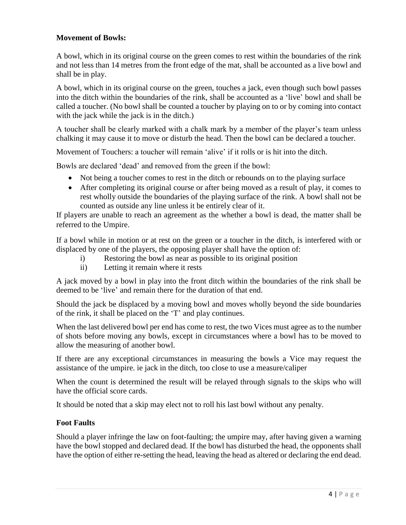### **Movement of Bowls:**

A bowl, which in its original course on the green comes to rest within the boundaries of the rink and not less than 14 metres from the front edge of the mat, shall be accounted as a live bowl and shall be in play.

A bowl, which in its original course on the green, touches a jack, even though such bowl passes into the ditch within the boundaries of the rink, shall be accounted as a 'live' bowl and shall be called a toucher. (No bowl shall be counted a toucher by playing on to or by coming into contact with the jack while the jack is in the ditch.)

A toucher shall be clearly marked with a chalk mark by a member of the player's team unless chalking it may cause it to move or disturb the head. Then the bowl can be declared a toucher.

Movement of Touchers: a toucher will remain 'alive' if it rolls or is hit into the ditch.

Bowls are declared 'dead' and removed from the green if the bowl:

- Not being a toucher comes to rest in the ditch or rebounds on to the playing surface
- After completing its original course or after being moved as a result of play, it comes to rest wholly outside the boundaries of the playing surface of the rink. A bowl shall not be counted as outside any line unless it be entirely clear of it.

If players are unable to reach an agreement as the whether a bowl is dead, the matter shall be referred to the Umpire.

If a bowl while in motion or at rest on the green or a toucher in the ditch, is interfered with or displaced by one of the players, the opposing player shall have the option of:

- i) Restoring the bowl as near as possible to its original position
- ii) Letting it remain where it rests

A jack moved by a bowl in play into the front ditch within the boundaries of the rink shall be deemed to be 'live' and remain there for the duration of that end.

Should the jack be displaced by a moving bowl and moves wholly beyond the side boundaries of the rink, it shall be placed on the 'T' and play continues.

When the last delivered bowl per end has come to rest, the two Vices must agree as to the number of shots before moving any bowls, except in circumstances where a bowl has to be moved to allow the measuring of another bowl.

If there are any exceptional circumstances in measuring the bowls a Vice may request the assistance of the umpire. ie jack in the ditch, too close to use a measure/caliper

When the count is determined the result will be relayed through signals to the skips who will have the official score cards.

It should be noted that a skip may elect not to roll his last bowl without any penalty.

#### **Foot Faults**

Should a player infringe the law on foot-faulting; the umpire may, after having given a warning have the bowl stopped and declared dead. If the bowl has disturbed the head, the opponents shall have the option of either re-setting the head, leaving the head as altered or declaring the end dead.